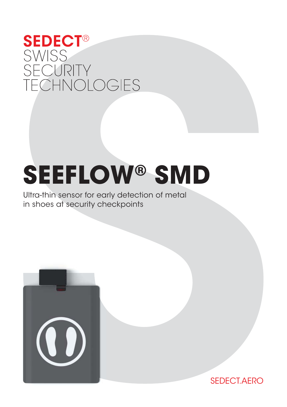### **SEDECT® SWISS** SECURITY<br>TECHNOLOGIES

# **SEEFLOW® SMD**

Ultra-thin sensor for early detection of metal in shoes at security checkpoints



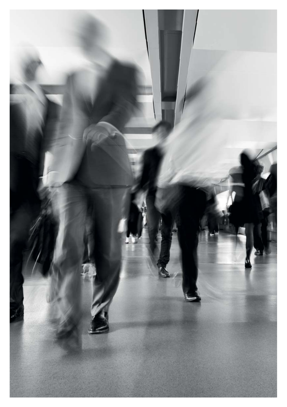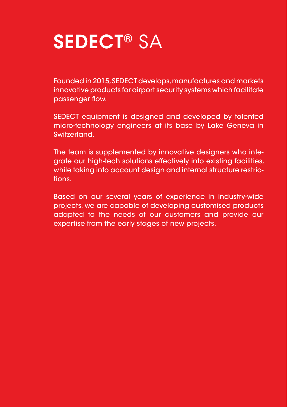#### SEDECT<sup>®</sup> SA

Founded in 2015, SEDECT develops, manufactures and markets innovative products for airport security systems which facilitate passenger flow.

SEDECT equipment is designed and developed by talented micro-technology engineers at its base by Lake Geneva in Switzerland.

The team is supplemented by innovative designers who integrate our high-tech solutions effectively into existing facilities, while taking into account design and internal structure restrictions.

Based on our several years of experience in industry-wide projects, we are capable of developing customised products adapted to the needs of our customers and provide our expertise from the early stages of new projects.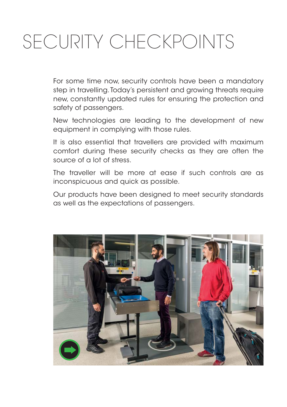## SECURITY CHECKPOINTS

For some time now, security controls have been a mandatory step in travelling. Today's persistent and growing threats require new, constantly updated rules for ensuring the protection and safety of passengers.

New technologies are leading to the development of new equipment in complying with those rules.

It is also essential that travellers are provided with maximum comfort during these security checks as they are often the source of a lot of stress.

The traveller will be more at ease if such controls are as inconspicuous and quick as possible.

Our products have been designed to meet security standards as well as the expectations of passengers.

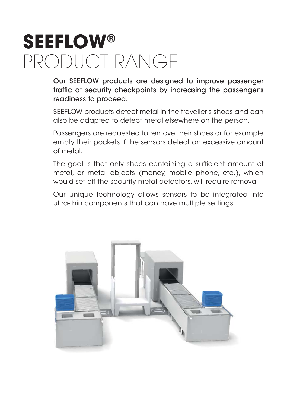#### **SEEFLOW®** PRODUCT RANGE

Our SEEFLOW products are designed to improve passenger traffic at security checkpoints by increasing the passenger's readiness to proceed.

SEEFLOW products detect metal in the traveller's shoes and can also be adapted to detect metal elsewhere on the person.

Passengers are requested to remove their shoes or for example empty their pockets if the sensors detect an excessive amount of metal.

The goal is that only shoes containing a sufficient amount of metal, or metal objects (money, mobile phone, etc.), which would set off the security metal detectors, will require removal.

Our unique technology allows sensors to be integrated into ultra-thin components that can have multiple settings.

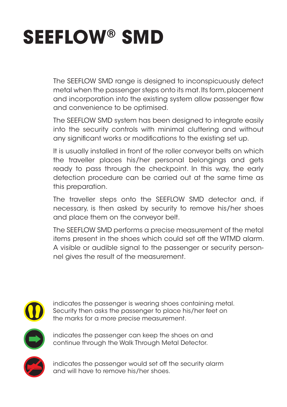# **SEEFLOW® SMD**

The SEEFLOW SMD range is designed to inconspicuously detect metal when the passenger steps onto its mat. Its form, placement and incorporation into the existing system allow passenger flow and convenience to be optimised.

The SEEFLOW SMD system has been designed to integrate easily into the security controls with minimal cluttering and without any significant works or modifications to the existing set up.

It is usually installed in front of the roller conveyor belts on which the traveller places his/her personal belongings and gets ready to pass through the checkpoint. In this way, the early detection procedure can be carried out at the same time as this preparation.

The traveller steps onto the SEEFLOW SMD detector and, if necessary, is then asked by security to remove his/her shoes and place them on the conveyor belt.

The SEEFLOW SMD performs a precise measurement of the metal items present in the shoes which could set off the WTMD alarm. A visible or audible signal to the passenger or security personnel gives the result of the measurement.



indicates the passenger is wearing shoes containing metal. Security then asks the passenger to place his/her feet on the marks for a more precise measurement.



indicates the passenger can keep the shoes on and continue through the Walk Through Metal Detector.



indicates the passenger would set off the security alarm and will have to remove his/her shoes.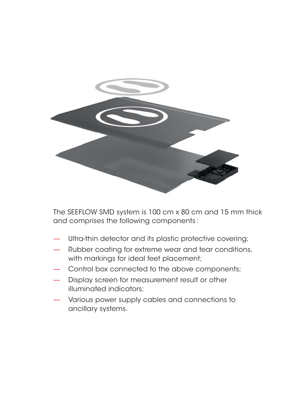

The SEEFLOW SMD system is 100 cm x 80 cm and 15 mm thick and comprises the following components :

- Ultra-thin detector and its plastic protective covering;
- Rubber coating for extreme wear and tear conditions, with markings for ideal feet placement;
- Control box connected to the above components;
- Display screen for measurement result or other illuminated indicators;
- Various power supply cables and connections to ancillary systems.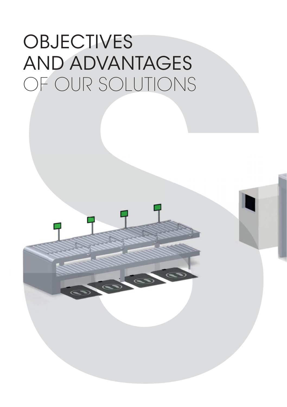### **OBJECTIVES** AND ADVANTAGES OF OUR SOLUTIONS

OBS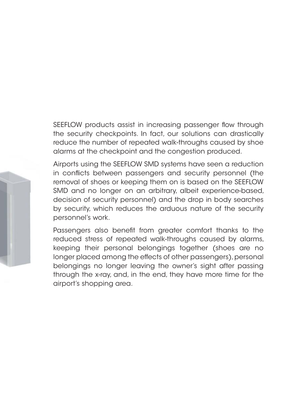SEEFLOW products assist in increasing passenger flow through the security checkpoints. In fact, our solutions can drastically reduce the number of repeated walk-throughs caused by shoe alarms at the checkpoint and the congestion produced.



Airports using the SEEFLOW SMD systems have seen a reduction in conflicts between passengers and security personnel (the removal of shoes or keeping them on is based on the SEEFLOW SMD and no longer on an arbitrary, albeit experience-based, decision of security personnel) and the drop in body searches by security, which reduces the arduous nature of the security personnel's work.

Passengers also benefit from greater comfort thanks to the reduced stress of repeated walk-throughs caused by alarms, keeping their personal belongings together (shoes are no longer placed among the effects of other passengers), personal belongings no longer leaving the owner's sight after passing through the x-ray, and, in the end, they have more time for the airport's shopping area.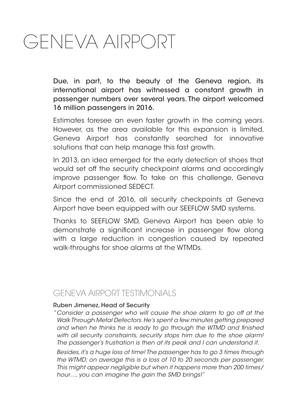### GENEVA AIRPORT

Due, in part, to the beauty of the Geneva region, its international airport has witnessed a constant growth in passenger numbers over several years. The airport welcomed 16 million passengers in 2016.

Estimates foresee an even faster growth in the coming years. However, as the area available for this expansion is limited, Geneva Airport has constantly searched for innovative solutions that can help manage this fast growth.

In 2013, an idea emerged for the early detection of shoes that would set off the security checkpoint alarms and accordingly improve passenger flow. To take on this challenge, Geneva Airport commissioned SEDECT.

Since the end of 2016, all security checkpoints at Geneva Airport have been equipped with our SEEFLOW SMD systems.

Thanks to SEEFLOW SMD, Geneva Airport has been able to demonstrate a significant increase in passenger flow along with a large reduction in congestion caused by repeated walk-throughs for shoe alarms at the WTMDs.

#### GENEVA AIRPORT TESTIMONIALS

#### Ruben Jimenez, Head of Security

" Consider a passenger who will cause the shoe alarm to go off at the Walk Through Metal Detectors. He's spent a few minutes getting prepared and when he thinks he is ready to go through the WTMD and finished with all security constraints, security stops him due to the shoe alarm! The passenger's frustration is then at its peak and I can understand it.

 Besides, it's a huge loss of time! The passenger has to go 3 times through the WTMD; on average this is a loss of 10 to 20 seconds per passenger. This might appear negligible but when it happens more than 200 times/ hour…, you can imagine the gain the SMD brings!"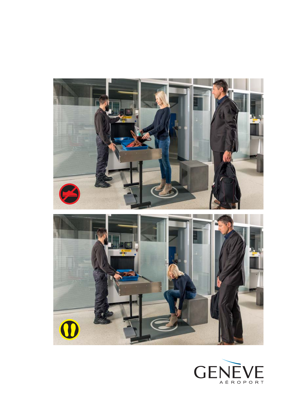